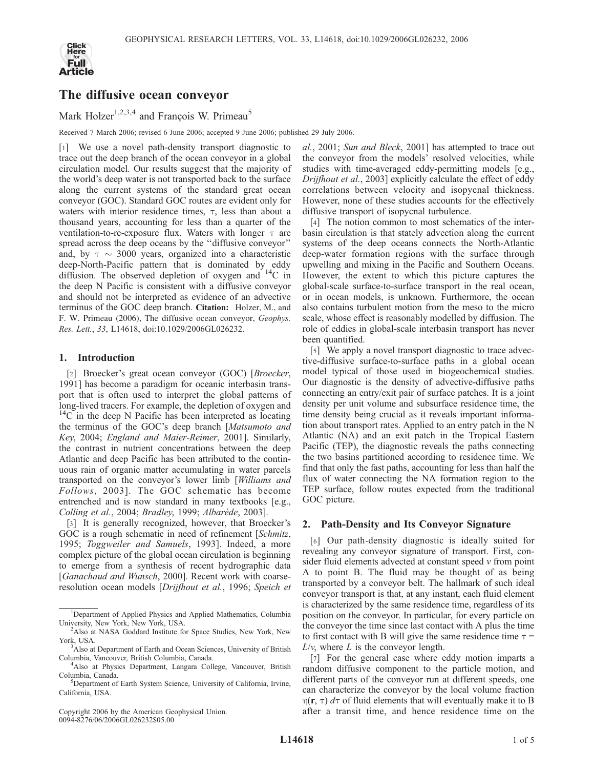

# The diffusive ocean conveyor

## Mark Holzer<sup>1,2,3,4</sup> and François W. Primeau<sup>5</sup>

Received 7 March 2006; revised 6 June 2006; accepted 9 June 2006; published 29 July 2006.

[1] We use a novel path-density transport diagnostic to trace out the deep branch of the ocean conveyor in a global circulation model. Our results suggest that the majority of the world's deep water is not transported back to the surface along the current systems of the standard great ocean conveyor (GOC). Standard GOC routes are evident only for waters with interior residence times,  $\tau$ , less than about a thousand years, accounting for less than a quarter of the ventilation-to-re-exposure flux. Waters with longer  $\tau$  are spread across the deep oceans by the ''diffusive conveyor'' and, by  $\tau \sim 3000$  years, organized into a characteristic deep-North-Pacific pattern that is dominated by eddy diffusion. The observed depletion of oxygen and  $^{14}C$  in the deep N Pacific is consistent with a diffusive conveyor and should not be interpreted as evidence of an advective terminus of the GOC deep branch. Citation: Holzer, M., and F. W. Primeau (2006), The diffusive ocean conveyor, Geophys. Res. Lett., 33, L14618, doi:10.1029/2006GL026232.

## 1. Introduction

[2] Broecker's great ocean conveyor (GOC) [Broecker, 1991] has become a paradigm for oceanic interbasin transport that is often used to interpret the global patterns of long-lived tracers. For example, the depletion of oxygen and  $14C$  in the deep N Pacific has been interpreted as locating the terminus of the GOC's deep branch [Matsumoto and Key, 2004; England and Maier-Reimer, 2001]. Similarly, the contrast in nutrient concentrations between the deep Atlantic and deep Pacific has been attributed to the continuous rain of organic matter accumulating in water parcels transported on the conveyor's lower limb [Williams and Follows, 2003]. The GOC schematic has become entrenched and is now standard in many textbooks [e.g., Colling et al., 2004; Bradley, 1999; Albaréde, 2003].

[3] It is generally recognized, however, that Broecker's GOC is a rough schematic in need of refinement [Schmitz, 1995; Toggweiler and Samuels, 1993]. Indeed, a more complex picture of the global ocean circulation is beginning to emerge from a synthesis of recent hydrographic data [Ganachaud and Wunsch, 2000]. Recent work with coarseresolution ocean models [Drijfhout et al., 1996; Speich et

Copyright 2006 by the American Geophysical Union. 0094-8276/06/2006GL026232\$05.00

al., 2001; Sun and Bleck, 2001] has attempted to trace out the conveyor from the models' resolved velocities, while studies with time-averaged eddy-permitting models [e.g., Drijfhout et al., 2003] explicitly calculate the effect of eddy correlations between velocity and isopycnal thickness. However, none of these studies accounts for the effectively diffusive transport of isopycnal turbulence.

[4] The notion common to most schematics of the interbasin circulation is that stately advection along the current systems of the deep oceans connects the North-Atlantic deep-water formation regions with the surface through upwelling and mixing in the Pacific and Southern Oceans. However, the extent to which this picture captures the global-scale surface-to-surface transport in the real ocean, or in ocean models, is unknown. Furthermore, the ocean also contains turbulent motion from the meso to the micro scale, whose effect is reasonably modelled by diffusion. The role of eddies in global-scale interbasin transport has never been quantified.

[5] We apply a novel transport diagnostic to trace advective-diffusive surface-to-surface paths in a global ocean model typical of those used in biogeochemical studies. Our diagnostic is the density of advective-diffusive paths connecting an entry/exit pair of surface patches. It is a joint density per unit volume and subsurface residence time, the time density being crucial as it reveals important information about transport rates. Applied to an entry patch in the N Atlantic (NA) and an exit patch in the Tropical Eastern Pacific (TEP), the diagnostic reveals the paths connecting the two basins partitioned according to residence time. We find that only the fast paths, accounting for less than half the flux of water connecting the NA formation region to the TEP surface, follow routes expected from the traditional GOC picture.

### 2. Path-Density and Its Conveyor Signature

[6] Our path-density diagnostic is ideally suited for revealing any conveyor signature of transport. First, consider fluid elements advected at constant speed  $\nu$  from point A to point B. The fluid may be thought of as being transported by a conveyor belt. The hallmark of such ideal conveyor transport is that, at any instant, each fluid element is characterized by the same residence time, regardless of its position on the conveyor. In particular, for every particle on the conveyor the time since last contact with A plus the time to first contact with B will give the same residence time  $\tau =$  $L/v$ , where L is the conveyor length.

[7] For the general case where eddy motion imparts a random diffusive component to the particle motion, and different parts of the conveyor run at different speeds, one can characterize the conveyor by the local volume fraction  $\eta(r, \tau) d\tau$  of fluid elements that will eventually make it to B after a transit time, and hence residence time on the

<sup>&</sup>lt;sup>1</sup>Department of Applied Physics and Applied Mathematics, Columbia University, New York, New York, USA. <sup>2</sup>

<sup>&</sup>lt;sup>2</sup>Also at NASA Goddard Institute for Space Studies, New York, New York, USA.

<sup>&</sup>lt;sup>3</sup>Also at Department of Earth and Ocean Sciences, University of British Columbia, Vancouver, British Columbia, Canada. <sup>4</sup>

<sup>&</sup>lt;sup>4</sup>Also at Physics Department, Langara College, Vancouver, British Columbia, Canada.

<sup>&</sup>lt;sup>5</sup>Department of Earth System Science, University of California, Irvine, California, USA.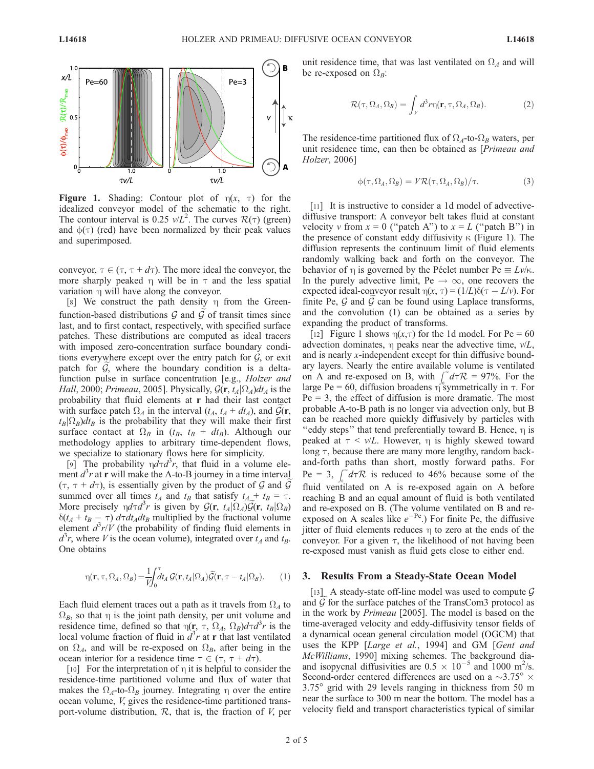

Figure 1. Shading: Contour plot of  $\eta(x, \tau)$  for the idealized conveyor model of the schematic to the right. The contour interval is 0.25  $v/L^2$ . The curves  $\mathcal{R}(\tau)$  (green) and  $\phi(\tau)$  (red) have been normalized by their peak values and superimposed.

conveyor,  $\tau \in (\tau, \tau + d\tau)$ . The more ideal the conveyor, the more sharply peaked  $\eta$  will be in  $\tau$  and the less spatial variation  $\eta$  will have along the conveyor.

[8] We construct the path density  $\eta$  from the Greenfunction-based distributions  $G$  and  $G$  of transit times since last, and to first contact, respectively, with specified surface patches. These distributions are computed as ideal tracers with imposed zero-concentration surface boundary conditions everywhere except over the entry patch for  $G$ , or exit patch for  $G$ , where the boundary condition is a deltafunction pulse in surface concentration [e.g., *Holzer and* Hall, 2000; Primeau, 2005]. Physically,  $\mathcal{G}(\mathbf{r}, t_A | \Omega_A) dt_A$  is the probability that fluid elements at  $r$  had their last contact with surface patch  $\Omega_A$  in the interval  $(t_A, t_A + dt_A)$ , and  $\mathcal{G}(\mathbf{r},$  $t_B|\Omega_B/dt_B$  is the probability that they will make their first surface contact at  $\Omega_B$  in  $(t_B, t_B + dt_B)$ . Although our methodology applies to arbitrary time-dependent flows, we specialize to stationary flows here for simplicity.

[9] The probability  $\eta d\tau d^3r$ , that fluid in a volume element  $d^3r$  at **r** will make the A-to-B journey in a time interval  $(\tau, \tau + d\tau)$ , is essentially given by the product of G and G summed over all times  $t_A$  and  $t_B$  that satisfy  $t_{A} + t_B = \tau$ . More precisely  $\eta d\tau d^3r$  is given by  $\mathcal{G}(\mathbf{r}, t_A | \Omega_A) \widetilde{\mathcal{G}}(\mathbf{r}, t_B | \Omega_B)$  $\delta(t_A + t_B - \tau) d\tau dt_A dt_B$  multiplied by the fractional volume element  $d^3r/V$  (the probability of finding fluid elements in  $d^3r$ , where V is the ocean volume), integrated over  $t_A$  and  $t_B$ . One obtains

$$
\eta(\mathbf{r}, \tau, \Omega_A, \Omega_B) = \frac{1}{V} \int_0^{\tau} dt_A \, \mathcal{G}(\mathbf{r}, t_A | \Omega_A) \widetilde{\mathcal{G}}(\mathbf{r}, \tau - t_A | \Omega_B). \tag{1}
$$

Each fluid element traces out a path as it travels from  $\Omega_A$  to  $\Omega_B$ , so that  $\eta$  is the joint path density, per unit volume and residence time, defined so that  $\eta(\mathbf{r}, \tau, \Omega_A, \Omega_B) d\tau d^3 r$  is the local volume fraction of fluid in  $d^3r$  at **r** that last ventilated on  $\Omega_A$ , and will be re-exposed on  $\Omega_B$ , after being in the ocean interior for a residence time  $\tau \in (\tau, \tau + d\tau)$ .

[10] For the interpretation of  $\eta$  it is helpful to consider the residence-time partitioned volume and flux of water that makes the  $\Omega_A$ -to- $\Omega_B$  journey. Integrating  $\eta$  over the entire ocean volume, V, gives the residence-time partitioned transport-volume distribution,  $R$ , that is, the fraction of  $V$ , per unit residence time, that was last ventilated on  $\Omega_A$  and will be re-exposed on  $\Omega_B$ :

$$
\mathcal{R}(\tau, \Omega_A, \Omega_B) = \int_V d^3r \eta(\mathbf{r}, \tau, \Omega_A, \Omega_B).
$$
 (2)

The residence-time partitioned flux of  $\Omega_A$ -to- $\Omega_B$  waters, per unit residence time, can then be obtained as [Primeau and Holzer, 2006]

$$
\varphi(\tau, \Omega_A, \Omega_B) = V \mathcal{R}(\tau, \Omega_A, \Omega_B) / \tau.
$$
 (3)

[11] It is instructive to consider a 1d model of advectivediffusive transport: A conveyor belt takes fluid at constant velocity v from  $x = 0$  ("patch A") to  $x = L$  ("patch B") in the presence of constant eddy diffusivity  $\kappa$  (Figure 1). The diffusion represents the continuum limit of fluid elements randomly walking back and forth on the conveyor. The behavior of  $\eta$  is governed by the Péclet number Pe  $\equiv Lv/\kappa$ . In the purely advective limit, Pe  $\rightarrow \infty$ , one recovers the expected ideal-conveyor result  $\eta(x, \tau) = (1/L)\delta(\tau - L/v)$ . For finite Pe,  $\mathcal G$  and  $\mathcal G$  can be found using Laplace transforms, and the convolution (1) can be obtained as a series by expanding the product of transforms.

[12] Figure 1 shows  $\eta(x,\tau)$  for the 1d model. For Pe = 60 advection dominates,  $\eta$  peaks near the advective time,  $v/L$ , and is nearly x-independent except for thin diffusive boundary layers. Nearly the entire available volume is ventilated on A and re-exposed on B, with  $\int_{0}^{\infty} d\tau \mathcal{R} = 97\%$ . For the large Pe = 60, diffusion broadens  $\eta$ <sup>'</sup>symmetrically in  $\tau$ . For  $Pe = 3$ , the effect of diffusion is more dramatic. The most probable A-to-B path is no longer via advection only, but B can be reached more quickly diffusively by particles with "eddy steps" that tend preferentially toward B. Hence,  $\eta$  is peaked at  $\tau \leq v/L$ . However, n is highly skewed toward long  $\tau$ , because there are many more lengthy, random backand-forth paths than short, mostly forward paths. For Pe = 3,  $\int_{0}^{\infty} d\tau \mathcal{R}$  is reduced to 46% because some of the fluid ventilated on A is re-exposed again on A before reaching B and an equal amount of fluid is both ventilated and re-exposed on B. (The volume ventilated on B and reexposed on A scales like  $e^{-Pe}$ .) For finite Pe, the diffusive jitter of fluid elements reduces  $\eta$  to zero at the ends of the conveyor. For a given  $\tau$ , the likelihood of not having been re-exposed must vanish as fluid gets close to either end.

### 3. Results From a Steady-State Ocean Model

[13] A steady-state off-line model was used to compute  $\mathcal G$ and  $G$  for the surface patches of the TransCom3 protocol as in the work by Primeau [2005]. The model is based on the time-averaged velocity and eddy-diffusivity tensor fields of a dynamical ocean general circulation model (OGCM) that uses the KPP [Large et al., 1994] and GM [Gent and McWilliams, 1990] mixing schemes. The background diaand isopycnal diffusivities are  $0.5 \times 10^{-5}$  and 1000 m<sup>2</sup>/s. Second-order centered differences are used on a  $\sim$ 3.75°  $\times$  $3.75^{\circ}$  grid with 29 levels ranging in thickness from 50 m near the surface to 300 m near the bottom. The model has a velocity field and transport characteristics typical of similar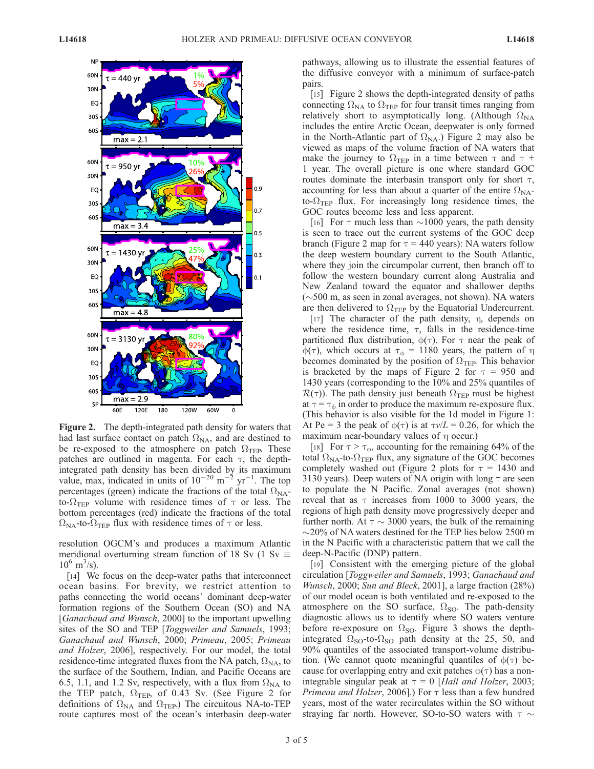

Figure 2. The depth-integrated path density for waters that had last surface contact on patch  $\Omega_{NA}$ , and are destined to be re-exposed to the atmosphere on patch  $\Omega$ <sub>TEP</sub>. These patches are outlined in magenta. For each  $\tau$ , the depthintegrated path density has been divided by its maximum value, max, indicated in units of  $10^{-20}$  m<sup>-2</sup> yr<sup>-1</sup>. The top percentages (green) indicate the fractions of the total  $\Omega_{NA}$ to- $\Omega_{\text{TEP}}$  volume with residence times of  $\tau$  or less. The bottom percentages (red) indicate the fractions of the total  $\Omega_{NA}$ -to- $\Omega_{TEP}$  flux with residence times of  $\tau$  or less.

resolution OGCM's and produces a maximum Atlantic meridional overturning stream function of 18 Sv (1 Sv  $\equiv$  $10^6$  m<sup>3</sup>/s).

[14] We focus on the deep-water paths that interconnect ocean basins. For brevity, we restrict attention to paths connecting the world oceans' dominant deep-water formation regions of the Southern Ocean (SO) and NA [Ganachaud and Wunsch, 2000] to the important upwelling sites of the SO and TEP [Toggweiler and Samuels, 1993; Ganachaud and Wunsch, 2000; Primeau, 2005; Primeau and Holzer, 2006], respectively. For our model, the total residence-time integrated fluxes from the NA patch,  $\Omega_{NA}$ , to the surface of the Southern, Indian, and Pacific Oceans are 6.5, 1.1, and 1.2 Sv, respectively, with a flux from  $\Omega_{NA}$  to the TEP patch,  $\Omega_{\text{TEP}}$ , of 0.43 Sv. (See Figure 2 for definitions of  $\Omega_{NA}$  and  $\Omega_{TEP}$ . The circuitous NA-to-TEP route captures most of the ocean's interbasin deep-water pathways, allowing us to illustrate the essential features of the diffusive conveyor with a minimum of surface-patch pairs.

[15] Figure 2 shows the depth-integrated density of paths connecting  $\Omega_{NA}$  to  $\Omega_{TEP}$  for four transit times ranging from relatively short to asymptotically long. (Although  $\Omega_{NA}$ includes the entire Arctic Ocean, deepwater is only formed in the North-Atlantic part of  $\Omega_{NA}$ .) Figure 2 may also be viewed as maps of the volume fraction of NA waters that make the journey to  $\Omega_{\text{TEP}}$  in a time between  $\tau$  and  $\tau$  + 1 year. The overall picture is one where standard GOC routes dominate the interbasin transport only for short  $\tau$ , accounting for less than about a quarter of the entire  $\Omega_{NA}$ to- $\Omega$ <sub>TEP</sub> flux. For increasingly long residence times, the GOC routes become less and less apparent.

[16] For  $\tau$  much less than  $\sim$ 1000 years, the path density is seen to trace out the current systems of the GOC deep branch (Figure 2 map for  $\tau$  = 440 years): NA waters follow the deep western boundary current to the South Atlantic, where they join the circumpolar current, then branch off to follow the western boundary current along Australia and New Zealand toward the equator and shallower depths  $(\sim 500 \text{ m}, \text{ as seen in zonal averages, not shown})$ . NA waters are then delivered to  $\Omega_{\text{TEP}}$  by the Equatorial Undercurrent.

[17] The character of the path density,  $\eta$ , depends on where the residence time,  $\tau$ , falls in the residence-time partitioned flux distribution,  $\phi(\tau)$ . For  $\tau$  near the peak of  $\phi(\tau)$ , which occurs at  $\tau_{\phi} = 1180$  years, the pattern of  $\eta$ becomes dominated by the position of  $\Omega_{\text{TEP}}$ . This behavior is bracketed by the maps of Figure 2 for  $\tau = 950$  and 1430 years (corresponding to the 10% and 25% quantiles of  $\mathcal{R}(\tau)$ ). The path density just beneath  $\Omega_{\text{TEP}}$  must be highest at  $\tau = \tau_{\phi}$  in order to produce the maximum re-exposure flux. (This behavior is also visible for the 1d model in Figure 1: At Pe = 3 the peak of  $\phi(\tau)$  is at  $\tau v/L = 0.26$ , for which the maximum near-boundary values of  $\eta$  occur.)

[18] For  $\tau > \tau_{\phi}$ , accounting for the remaining 64% of the total  $\Omega_{NA}$ -to- $\Omega_{TEP}$  flux, any signature of the GOC becomes completely washed out (Figure 2 plots for  $\tau = 1430$  and 3130 years). Deep waters of NA origin with long  $\tau$  are seen to populate the N Pacific. Zonal averages (not shown) reveal that as  $\tau$  increases from 1000 to 3000 years, the regions of high path density move progressively deeper and further north. At  $\tau \sim 3000$  years, the bulk of the remaining  $\sim$ 20% of NA waters destined for the TEP lies below 2500 m in the N Pacific with a characteristic pattern that we call the deep-N-Pacific (DNP) pattern.

[19] Consistent with the emerging picture of the global circulation [Toggweiler and Samuels, 1993; Ganachaud and Wunsch, 2000; Sun and Bleck, 2001], a large fraction (28%) of our model ocean is both ventilated and re-exposed to the atmosphere on the SO surface,  $\Omega_{SO}$ . The path-density diagnostic allows us to identify where SO waters venture before re-exposure on  $\Omega_{SO}$ . Figure 3 shows the depthintegrated  $\Omega_{SO}$ -to- $\Omega_{SO}$  path density at the 25, 50, and 90% quantiles of the associated transport-volume distribution. (We cannot quote meaningful quantiles of  $\phi(\tau)$  because for overlapping entry and exit patches  $\phi(\tau)$  has a nonintegrable singular peak at  $\tau = 0$  [Hall and Holzer, 2003; Primeau and Holzer, 2006].) For  $\tau$  less than a few hundred years, most of the water recirculates within the SO without straying far north. However, SO-to-SO waters with  $\tau \sim$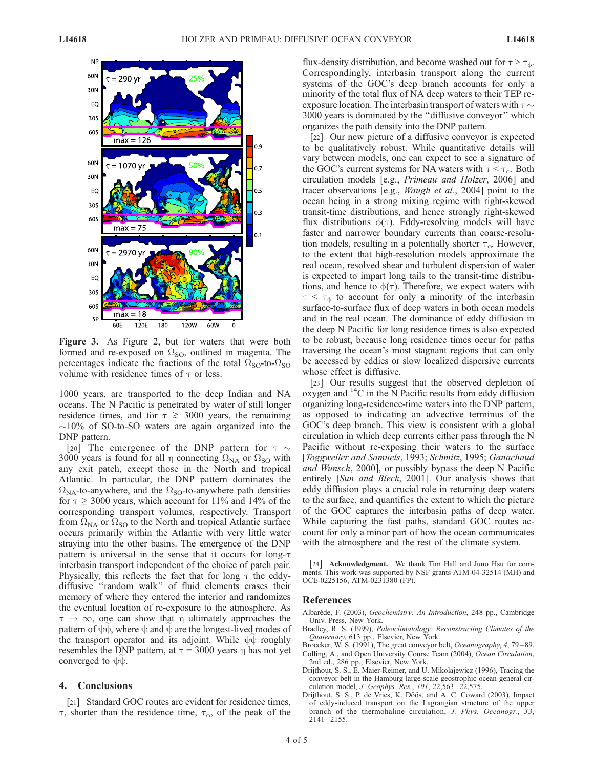

Figure 3. As Figure 2, but for waters that were both formed and re-exposed on  $\Omega_{SO}$ , outlined in magenta. The percentages indicate the fractions of the total  $\Omega_{\text{SO}}$ -to- $\Omega_{\text{SO}}$ volume with residence times of  $\tau$  or less.

1000 years, are transported to the deep Indian and NA oceans. The N Pacific is penetrated by water of still longer residence times, and for  $\tau \approx 3000$  years, the remaining  $\sim$ 10% of SO-to-SO waters are again organized into the DNP pattern.

[20] The emergence of the DNP pattern for  $\tau \sim$ 3000 years is found for all  $\eta$  connecting  $\Omega_{NA}$  or  $\Omega_{SO}$  with any exit patch, except those in the North and tropical Atlantic. In particular, the DNP pattern dominates the  $\Omega_{NA}$ -to-anywhere, and the  $\Omega_{SO}$ -to-anywhere path densities for  $\tau \geq 3000$  years, which account for 11% and 14% of the corresponding transport volumes, respectively. Transport from  $\Omega_{NA}$  or  $\Omega_{SO}$  to the North and tropical Atlantic surface occurs primarily within the Atlantic with very little water straying into the other basins. The emergence of the DNP pattern is universal in the sense that it occurs for long- $\tau$ interbasin transport independent of the choice of patch pair. Physically, this reflects the fact that for long  $\tau$  the eddydiffusive ''random walk'' of fluid elements erases their memory of where they entered the interior and randomizes the eventual location of re-exposure to the atmosphere. As  $\tau \rightarrow \infty$ , one can show that  $\eta$  ultimately approaches the pattern of  $\psi\psi$ , where  $\psi$  and  $\psi$  are the longest-lived modes of the transport operator and its adjoint. While  $\psi\psi$  roughly resembles the DNP pattern, at  $\tau = 3000$  years  $\eta$  has not yet converged to  $\psi\psi$ .

#### 4. Conclusions

[21] Standard GOC routes are evident for residence times,  $\tau$ , shorter than the residence time,  $\tau_{\phi}$ , of the peak of the

flux-density distribution, and become washed out for  $\tau > \tau_{\phi}$ . Correspondingly, interbasin transport along the current systems of the GOC's deep branch accounts for only a minority of the total flux of NA deep waters to their TEP reexposure location. The interbasin transport of waters with  $\tau \sim$ 3000 years is dominated by the ''diffusive conveyor'' which organizes the path density into the DNP pattern.

[22] Our new picture of a diffusive conveyor is expected to be qualitatively robust. While quantitative details will vary between models, one can expect to see a signature of the GOC's current systems for NA waters with  $\tau < \tau_{\phi}$ . Both circulation models [e.g., Primeau and Holzer, 2006] and tracer observations [e.g., Waugh et al., 2004] point to the ocean being in a strong mixing regime with right-skewed transit-time distributions, and hence strongly right-skewed flux distributions  $\phi(\tau)$ . Eddy-resolving models will have faster and narrower boundary currents than coarse-resolution models, resulting in a potentially shorter  $\tau_{\phi}$ . However, to the extent that high-resolution models approximate the real ocean, resolved shear and turbulent dispersion of water is expected to impart long tails to the transit-time distributions, and hence to  $\phi(\tau)$ . Therefore, we expect waters with  $\tau < \tau_{\phi}$  to account for only a minority of the interbasin surface-to-surface flux of deep waters in both ocean models and in the real ocean. The dominance of eddy diffusion in the deep N Pacific for long residence times is also expected to be robust, because long residence times occur for paths traversing the ocean's most stagnant regions that can only be accessed by eddies or slow localized dispersive currents whose effect is diffusive.

[23] Our results suggest that the observed depletion of oxygen and 14C in the N Pacific results from eddy diffusion organizing long-residence-time waters into the DNP pattern, as opposed to indicating an advective terminus of the GOC's deep branch. This view is consistent with a global circulation in which deep currents either pass through the N Pacific without re-exposing their waters to the surface [Toggweiler and Samuels, 1993; Schmitz, 1995; Ganachaud and Wunsch, 2000], or possibly bypass the deep N Pacific entirely [Sun and Bleck, 2001]. Our analysis shows that eddy diffusion plays a crucial role in returning deep waters to the surface, and quantifies the extent to which the picture of the GOC captures the interbasin paths of deep water. While capturing the fast paths, standard GOC routes account for only a minor part of how the ocean communicates with the atmosphere and the rest of the climate system.

[24] **Acknowledgment.** We thank Tim Hall and Juno Hsu for comments. This work was supported by NSF grants ATM-04-32514 (MH) and OCE-0225156, ATM-0231380 (FP).

#### References

- Albaréde, F. (2003), Geochemistry: An Introduction, 248 pp., Cambridge Univ. Press, New York.
- Bradley, R. S. (1999), Paleoclimatology: Reconstructing Climates of the Quaternary, 613 pp., Elsevier, New York.
- Broecker, W. S. (1991), The great conveyor belt, Oceanography, 4, 79-89. Colling, A., and Open University Course Team (2004), Ocean Circulation,
- 2nd ed., 286 pp., Elsevier, New York. Drijfhout, S. S., E. Maier-Reimer, and U. Mikolajewicz (1996), Tracing the conveyor belt in the Hamburg large-scale geostrophic ocean general circulation model, *J. Geophys. Res.*, 101, 22,563-22,575.
- Drijfhout, S. S., P. de Vries, K. Döös, and A. C. Coward (2003), Impact of eddy-induced transport on the Lagrangian structure of the upper branch of the thermohaline circulation, J. Phys. Oceanogr., 33,  $2141 - 2155$ .